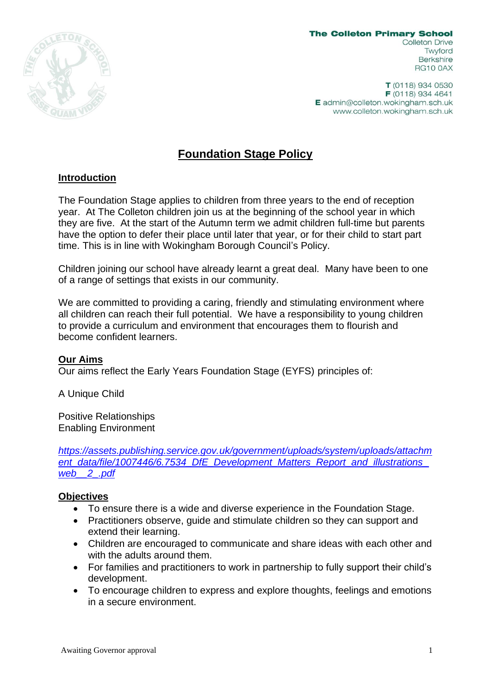

**The Colleton Primary School** Colleton Drive Twyford **Berkshire RG10 0AX** 

T (0118) 934 0530  $F(0118)$  934 4641 E admin@colleton.wokingham.sch.uk www.colleton.wokingham.sch.uk

# **Foundation Stage Policy**

# **Introduction**

The Foundation Stage applies to children from three years to the end of reception year. At The Colleton children join us at the beginning of the school year in which they are five. At the start of the Autumn term we admit children full-time but parents have the option to defer their place until later that year, or for their child to start part time. This is in line with Wokingham Borough Council's Policy.

Children joining our school have already learnt a great deal. Many have been to one of a range of settings that exists in our community.

We are committed to providing a caring, friendly and stimulating environment where all children can reach their full potential. We have a responsibility to young children to provide a curriculum and environment that encourages them to flourish and become confident learners.

#### **Our Aims**

Our aims reflect the Early Years Foundation Stage (EYFS) principles of:

A Unique Child

Positive Relationships Enabling Environment

*[https://assets.publishing.service.gov.uk/government/uploads/system/uploads/attachm](https://assets.publishing.service.gov.uk/government/uploads/system/uploads/attachment_data/file/1007446/6.7534_DfE_Development_Matters_Report_and_illustrations_web__2_.pdf) [ent\\_data/file/1007446/6.7534\\_DfE\\_Development\\_Matters\\_Report\\_and\\_illustrations\\_](https://assets.publishing.service.gov.uk/government/uploads/system/uploads/attachment_data/file/1007446/6.7534_DfE_Development_Matters_Report_and_illustrations_web__2_.pdf) [web\\_\\_2\\_.pdf](https://assets.publishing.service.gov.uk/government/uploads/system/uploads/attachment_data/file/1007446/6.7534_DfE_Development_Matters_Report_and_illustrations_web__2_.pdf)*

#### **Objectives**

- To ensure there is a wide and diverse experience in the Foundation Stage.
- Practitioners observe, guide and stimulate children so they can support and extend their learning.
- Children are encouraged to communicate and share ideas with each other and with the adults around them.
- For families and practitioners to work in partnership to fully support their child's development.
- To encourage children to express and explore thoughts, feelings and emotions in a secure environment.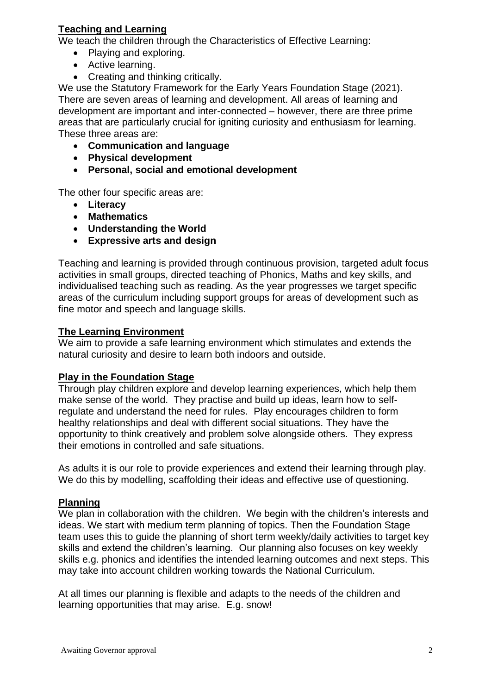# **Teaching and Learning**

We teach the children through the Characteristics of Effective Learning:

- Playing and exploring.
- Active learning.
- Creating and thinking critically.

We use the Statutory Framework for the Early Years Foundation Stage (2021). There are seven areas of learning and development. All areas of learning and development are important and inter-connected – however, there are three prime areas that are particularly crucial for igniting curiosity and enthusiasm for learning. These three areas are:

- **Communication and language**
- **Physical development**
- **Personal, social and emotional development**

The other four specific areas are:

- **Literacy**
- **Mathematics**
- **Understanding the World**
- **Expressive arts and design**

Teaching and learning is provided through continuous provision, targeted adult focus activities in small groups, directed teaching of Phonics, Maths and key skills, and individualised teaching such as reading. As the year progresses we target specific areas of the curriculum including support groups for areas of development such as fine motor and speech and language skills.

#### **The Learning Environment**

We aim to provide a safe learning environment which stimulates and extends the natural curiosity and desire to learn both indoors and outside.

#### **Play in the Foundation Stage**

Through play children explore and develop learning experiences, which help them make sense of the world. They practise and build up ideas, learn how to selfregulate and understand the need for rules. Play encourages children to form healthy relationships and deal with different social situations. They have the opportunity to think creatively and problem solve alongside others. They express their emotions in controlled and safe situations.

As adults it is our role to provide experiences and extend their learning through play. We do this by modelling, scaffolding their ideas and effective use of questioning.

#### **Planning**

We plan in collaboration with the children. We begin with the children's interests and ideas. We start with medium term planning of topics. Then the Foundation Stage team uses this to guide the planning of short term weekly/daily activities to target key skills and extend the children's learning. Our planning also focuses on key weekly skills e.g. phonics and identifies the intended learning outcomes and next steps. This may take into account children working towards the National Curriculum.

At all times our planning is flexible and adapts to the needs of the children and learning opportunities that may arise. E.g. snow!